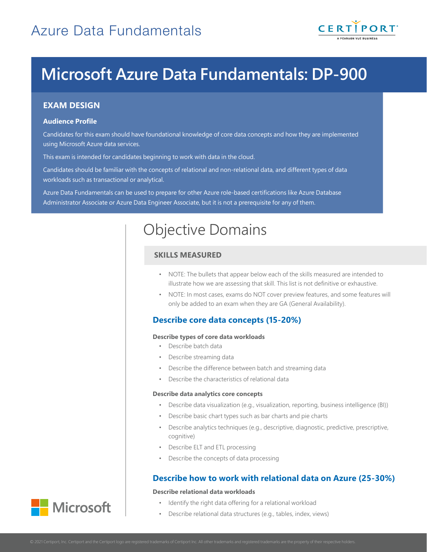

# **Microsoft Azure Data Fundamentals: DP-900**

## **EXAM DESIGN**

#### **Audience Profile**

Candidates for this exam should have foundational knowledge of core data concepts and how they are implemented using Microsoft Azure data services.

This exam is intended for candidates beginning to work with data in the cloud.

Candidates should be familiar with the concepts of relational and non-relational data, and different types of data workloads such as transactional or analytical.

Azure Data Fundamentals can be used to prepare for other Azure role-based certifications like Azure Database Administrator Associate or Azure Data Engineer Associate, but it is not a prerequisite for any of them.

## Objective Domains

## **SKILLS MEASURED**

- NOTE: The bullets that appear below each of the skills measured are intended to illustrate how we are assessing that skill. This list is not definitive or exhaustive.
- NOTE: In most cases, exams do NOT cover preview features, and some features will only be added to an exam when they are GA (General Availability).

## **Describe core data concepts (15-20%)**

#### **Describe types of core data workloads**

- Describe batch data
- Describe streaming data
- Describe the difference between batch and streaming data
- Describe the characteristics of relational data

#### **Describe data analytics core concepts**

- Describe data visualization (e.g., visualization, reporting, business intelligence (BI))
- Describe basic chart types such as bar charts and pie charts
- Describe analytics techniques (e.g., descriptive, diagnostic, predictive, prescriptive, cognitive)
- Describe ELT and ETL processing
- Describe the concepts of data processing

## **Describe how to work with relational data on Azure (25-30%)**

#### **Describe relational data workloads**

- Identify the right data offering for a relational workload
- Describe relational data structures (e.g., tables, index, views)